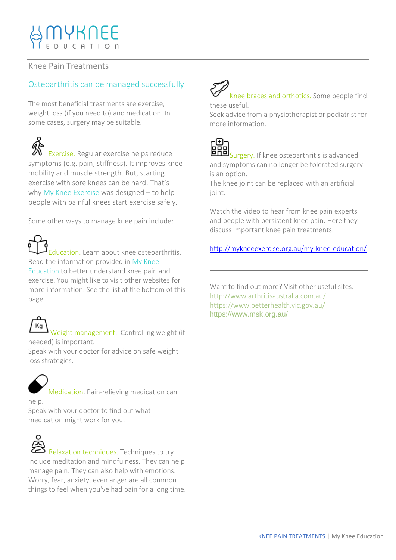## Knee Pain Treatments

## Osteoarthritis can be managed successfully.

The most beneficial treatments are exercise, weight loss (if you need to) and medication. In some cases, surgery may be suitable.

Exercise. Regular exercise helps reduce symptoms (e.g. pain, stiffness). It improves knee mobility and muscle strength. But, starting exercise with sore knees can be hard. That's why My Knee Exercise was designed – to help people with painful knees start exercise safely.

Some other ways to manage knee pain include:

Education. Learn about knee osteoarthritis. Read the information provided in My Knee Education to better understand knee pain and exercise. You might like to visit other websites for more information. See the list at the bottom of this page.

Kg Weight management. Controlling weight (if needed) is important.

Speak with your doctor for advice on safe weight loss strategies.

Medication. Pain-relieving medication can help.

Speak with your doctor to find out what medication might work for you.



Relaxation techniques. Techniques to try include meditation and mindfulness. They can help manage pain. They can also help with emotions. Worry, fear, anxiety, even anger are all common things to feel when you've had pain for a long time.



Knee braces and orthotics. Some people find these useful.

Seek advice from a physiotherapist or podiatrist for more information.



Surgery. If knee osteoarthritis is advanced and symptoms can no longer be tolerated surgery is an option.

The knee joint can be replaced with an artificial joint.

Watch the video to hear from knee pain experts and people with persistent knee pain. Here they discuss important knee pain treatments.

<http://mykneeexercise.org.au/my-knee-education/>

Want to find out more? Visit other useful sites. <http://www.arthritisaustralia.com.au/> <https://www.betterhealth.vic.gov.au/> <https://www.msk.org.au/>